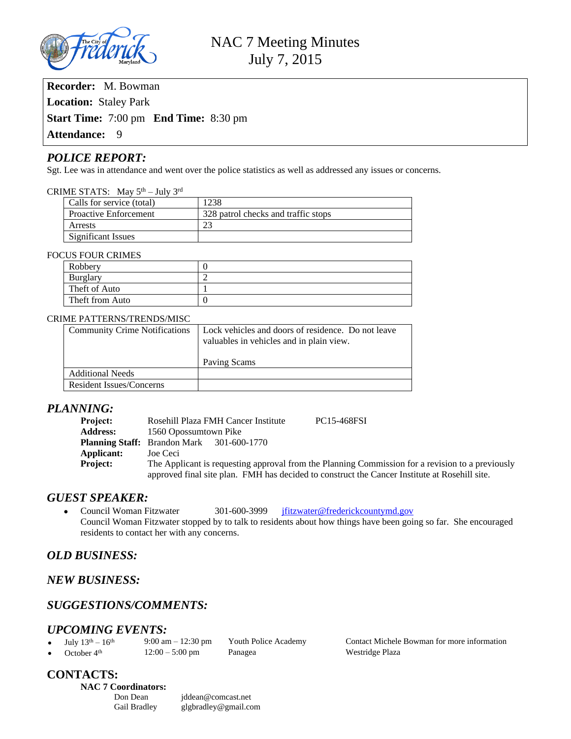

**Recorder:** M. Bowman **Location:** Staley Park **Start Time:** 7:00 pm **End Time:** 8:30 pm Attendance: 9

## *POLICE REPORT:*

Sgt. Lee was in attendance and went over the police statistics as well as addressed any issues or concerns.

#### CRIME STATS: May 5th – July 3rd

| Calls for service (total)    | 1238                                |  |
|------------------------------|-------------------------------------|--|
| <b>Proactive Enforcement</b> | 328 patrol checks and traffic stops |  |
| Arrests                      | 23                                  |  |
| Significant Issues           |                                     |  |

#### FOCUS FOUR CRIMES

| Robbery         |  |  |  |  |
|-----------------|--|--|--|--|
| Burglary        |  |  |  |  |
| Theft of Auto   |  |  |  |  |
| Theft from Auto |  |  |  |  |

#### CRIME PATTERNS/TRENDS/MISC

| <b>Community Crime Notifications</b> | Lock vehicles and doors of residence. Do not leave<br>valuables in vehicles and in plain view.<br>Paving Scams |  |
|--------------------------------------|----------------------------------------------------------------------------------------------------------------|--|
| <b>Additional Needs</b>              |                                                                                                                |  |
| Resident Issues/Concerns             |                                                                                                                |  |

### *PLANNING:*

| <b>Project:</b> | Rosehill Plaza FMH Cancer Institute<br><b>PC15-468FSI</b>                                        |  |  |
|-----------------|--------------------------------------------------------------------------------------------------|--|--|
| <b>Address:</b> | 1560 Opossumtown Pike                                                                            |  |  |
|                 | <b>Planning Staff:</b> Brandon Mark 301-600-1770                                                 |  |  |
| Applicant:      | Joe Ceci                                                                                         |  |  |
| <b>Project:</b> | The Applicant is requesting approval from the Planning Commission for a revision to a previously |  |  |
|                 | approved final site plan. FMH has decided to construct the Cancer Institute at Rosehill site.    |  |  |

## *GUEST SPEAKER:*

• Council Woman Fitzwater 301-600-3999 [jfitzwater@frederickcountymd.gov](mailto:jfitzwater@frederickcountymd.gov) Council Woman Fitzwater stopped by to talk to residents about how things have been going so far. She encouraged residents to contact her with any concerns.

# *OLD BUSINESS:*

# *NEW BUSINESS:*

# *SUGGESTIONS/COMMENTS:*

### *UPCOMING EVENTS:*

| July $13^{th} - 16^{th}$ | $9:00 \text{ am} - 12:30 \text{ pm}$ | Youth Police Academy |
|--------------------------|--------------------------------------|----------------------|
| October 4 <sup>th</sup>  | $12:00 - 5:00$ pm                    | Panagea              |

Contact Michele Bowman for more information Westridge Plaza

# **CONTACTS: NAC 7 Coordinators:**

[jddean@comcast.net](mailto:jddean@comcast.net) Gail Bradley [glgbradley@gmail.com](mailto:glgbradley@gmail.com)